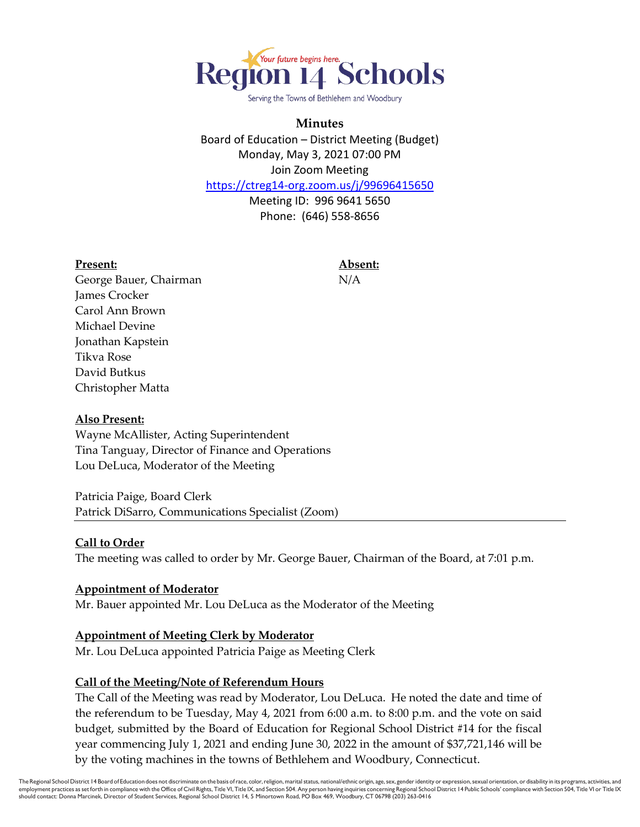

Serving the Towns of Bethlehem and Woodbury

# **Minutes**

Board of Education – District Meeting (Budget) Monday, May 3, 2021 07:00 PM Join Zoom Meeting

<https://ctreg14-org.zoom.us/j/99696415650>

Meeting ID: 996 9641 5650 Phone: (646) 558-8656

#### **Present: Absent:**

George Bauer, Chairman N/A James Crocker Carol Ann Brown Michael Devine Jonathan Kapstein Tikva Rose David Butkus Christopher Matta

## **Also Present:**

Wayne McAllister, Acting Superintendent Tina Tanguay, Director of Finance and Operations Lou DeLuca, Moderator of the Meeting

Patricia Paige, Board Clerk Patrick DiSarro, Communications Specialist (Zoom)

#### **Call to Order**

The meeting was called to order by Mr. George Bauer, Chairman of the Board, at 7:01 p.m.

#### **Appointment of Moderator**

Mr. Bauer appointed Mr. Lou DeLuca as the Moderator of the Meeting

#### **Appointment of Meeting Clerk by Moderator**

Mr. Lou DeLuca appointed Patricia Paige as Meeting Clerk

## **Call of the Meeting/Note of Referendum Hours**

The Call of the Meeting was read by Moderator, Lou DeLuca. He noted the date and time of the referendum to be Tuesday, May 4, 2021 from 6:00 a.m. to 8:00 p.m. and the vote on said budget, submitted by the Board of Education for Regional School District #14 for the fiscal year commencing July 1, 2021 and ending June 30, 2022 in the amount of \$37,721,146 will be by the voting machines in the towns of Bethlehem and Woodbury, Connecticut.